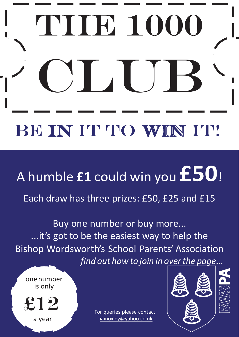## THE 1000 **Club** BE IN IT TO WIN IT!

## <sup>A</sup> humble **£1** could win you **£50**!

Each draw has three prizes: £50, £25 and £15

Buy one number or buy more... ...it's got to be the easiest way to help the Bishop Wordsworth's School Parents' Association *find out how to join in overthe page...*

one number is only

£12

a year

For queries please contact [iainoxley@yahoo.co.uk](mailto:iainoxley@yahoo.co.uk)